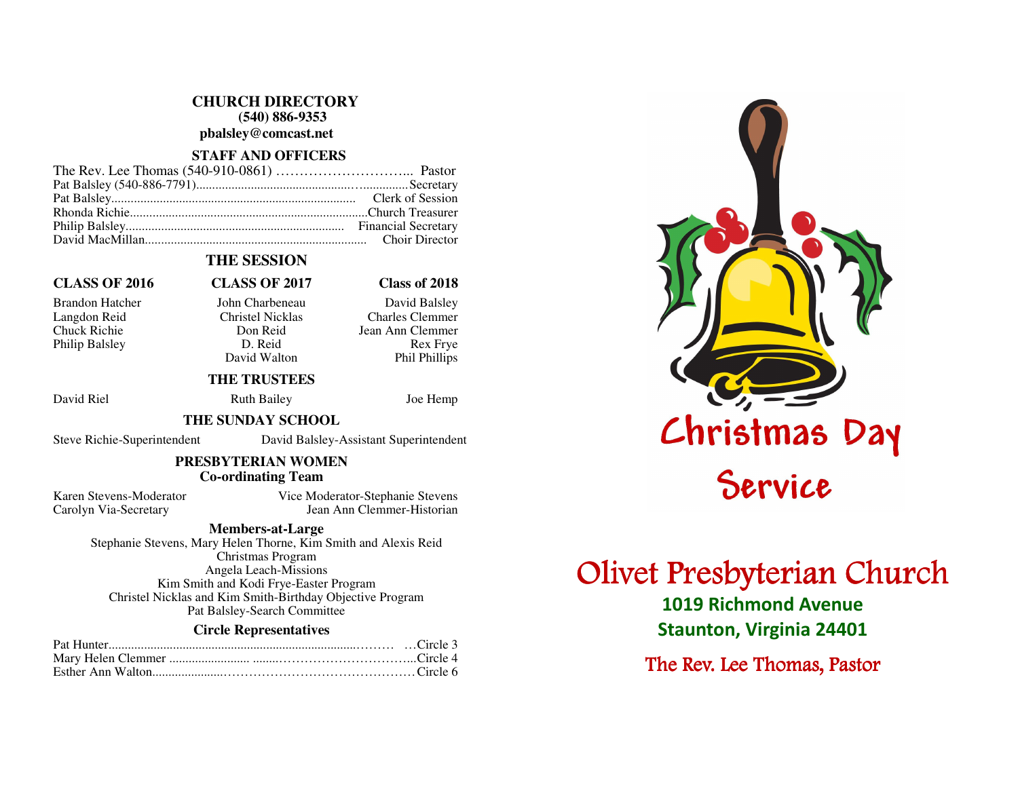**CHURCH DIRECTORY (540) 886-9353** 

**pbalsley@comcast.net** 

# **STAFF AND OFFICERS**

# **THE SESSION**

# **CLASS OF 2016 CLASS OF 2017 Class of 2018**

Philip Balsley D. Reid<br>David Walton

Brandon Hatcher John Charbeneau David Balsley Langdon Reid Christel Nicklas Charles Clemmer Chuck Richie Don Reid Jean Ann Clemmer **Rex Frve** David Walton Phil Phillips

# **THE TRUSTEES**

David Riel Ruth Bailey Joe Hemp

## **THE SUNDAY SCHOOL**

Steve Richie-Superintendent David Balsley-Assistant Superintendent

# **PRESBYTERIAN WOMEN Co-ordinating Team**

Karen Stevens-Moderator Vice Moderator-Stephanie Stevens Carolyn Via-Secretary Jean Ann Clemmer-Historian

# **Members-at-Large**

 Stephanie Stevens, Mary Helen Thorne, Kim Smith and Alexis Reid Christmas Program Angela Leach-Missions Kim Smith and Kodi Frye-Easter Program Christel Nicklas and Kim Smith-Birthday Objective Program Pat Balsley-Search Committee

# **Circle Representatives**

# Christmas Day

# Olivet Presbyterian Church

1019 Richmond Avenue Staunton, Virginia 24401

The Rev. Lee Thomas, Pastor